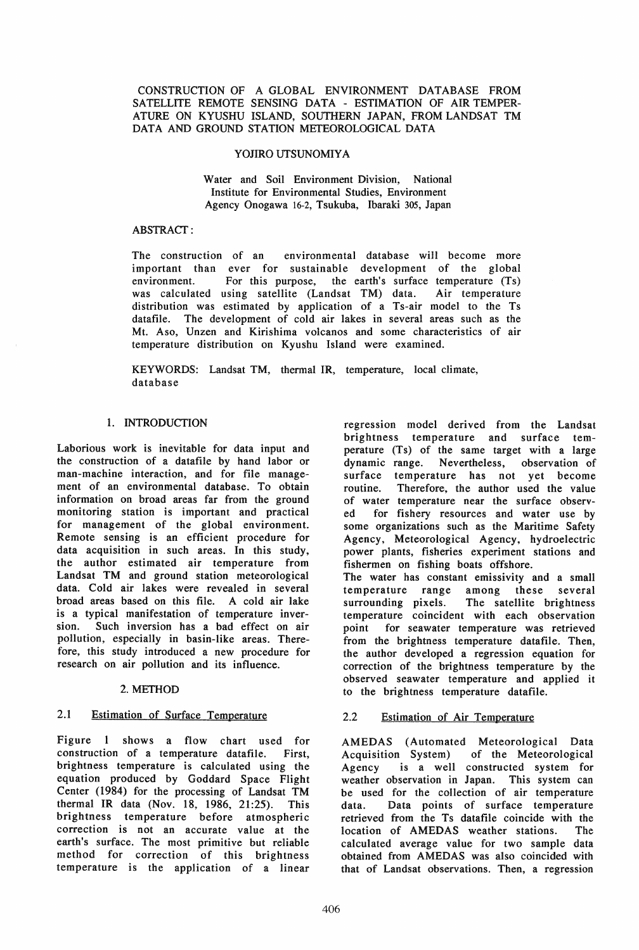### CONSTRUCTION OF A GLOBAL ENVIRONMENT DATABASE FROM SATELLITE REMOTE SENSING DATA - ESTIMATION OF AIR TEMPER-ATURE ON KYUSHU ISLAND, SOUTHERN JAPAN, FROM LANDSAT TM DATA AND GROUND STATION METEOROLOGICAL DATA

### YOJIRO UTSUNOMIYA

Water and Soil Environment Division, National Institute for Environmental Studies, Environment Agency Onogawa 16-2, Tsukuba, Ibaraki 305, Japan

#### ABSTRACf:

The construction of an environmental database will become more important than ever for sustainable development of the global environment. For this purpose, the earth's surface temperature (Ts) was calculated using satellite (Landsat TM) data. Air temperature distribution was estimated by application of a Ts-air model to the Ts datafile. The development of cold air lakes in several areas such as the Mt. Aso, Unzen and Kirishima volcanos and some characteristics of air temperature distribution on Kyushu Island were examined.

KEYWORDS: Landsat TM, thermal IR, temperature, local climate, database

### I. INTRODUCTION

Laborious work is inevitable for data input and the construction of a datafile by hand labor or man-machine interaction, and for file management of an environmental database. To obtain information on broad areas far from the ground monitoring station is important and practical for management of the global environment. Remote sensing is an efficient procedure for data acquisition in such areas. In this study, the author estimated air temperature from Landsat TM and ground station meteorological data. Cold air lakes were revealed in several broad areas based on this file. A cold air lake is a typical manifestation of temperature inversion. Such inversion has a bad effect on air pollution, especially in basin-like areas. Therefore, this study introduced a new procedure for research on air pollution and its influence.

### 2. METHOD

### 2.1 Estimation of Surface Temperature

Figure 1 shows a flow chart used for construction of a temperature datafile. First, brightness temperature is calculated using the equation produced by Goddard Space Flight Center (1984) for the processing of Landsat TM thermal IR data (Nov. 18, 1986, 21:25). This brightness temperature before atmospheric correction is not an accurate value at the earth's surface. The most primitive but reliable method for correction of this brightness temperature is the application of a linear

regression model derived from the Landsat brightness temperature and surface temperature (Ts) of the same target with a large dynamic range. Nevertheless, observation of surface temperature has not yet become routine. Therefore, the author used the value of water temperature near the surface observed for fishery resources and water use by some organizations such as the Maritime Safety Agency, Meteorological Agency, hydroelectric power plants, fisheries experiment stations and fishermen on fishing boats offshore. The water has constant emissivity and a small temperature range among these several<br>surrounding pixels. The satellite brightness

The satellite brightness temperature coincident with each observation point for seawater temperature was retrieved from the brightness temperature datafile. Then, the author developed a regression equation for correction of the brightness temperature by the observed seawater temperature and applied it to the brightness temperature datafile.

## 2.2 Estimation of Air Temperature

AMEDAS (Automated Meteorological Data Acquisition System) of the Meteorological Agency is a well constructed system for weather observation in Japan. This system can be used for the collection of air temperature data. Data points of surface temperature retrieved from the Ts datafile coincide with the location of AMEDAS weather stations. The calculated average value for two sample data obtained from AMEDAS was also coincided with that of Landsat observations. Then, a regression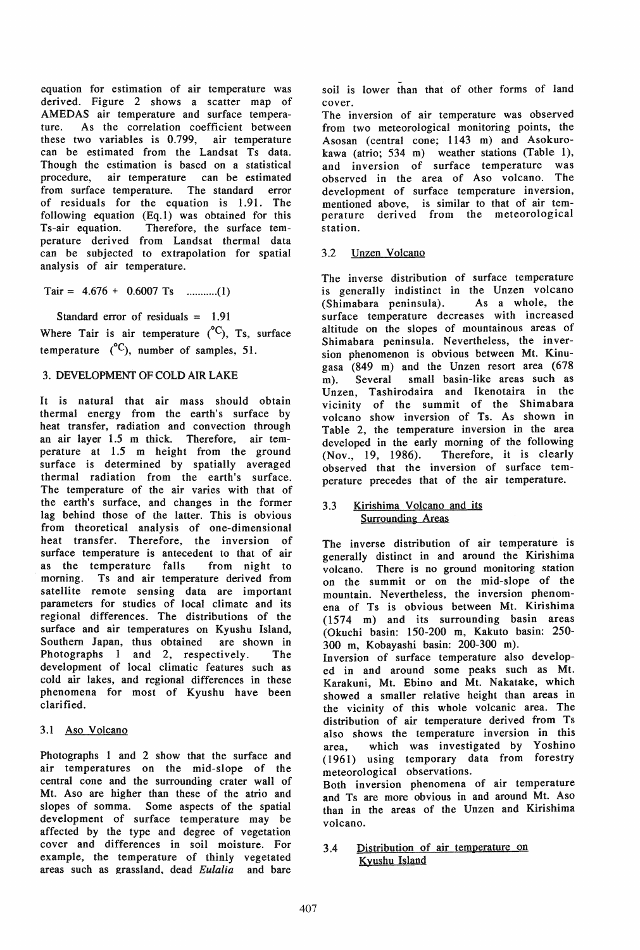equation for estimation of air temperature was derived. Figure 2 shows a scatter map of AMEDAS air temperature and surface temperature. As the correlation coefficient between these two variables is 0.799, air temperature can be estimated from the Landsat Ts data. Though the estimation is based on a statistical procedure, air temperature can be estimated from surface temperature. The standard error of residuals for the equation is 1.91. The following equation (Eq.l) was obtained for this Ts-air equation. Therefore, the surface temperature derived from Landsat thermal data can be subjected to extrapolation for spatial analysis of air temperature.

Tair = 4.676 + 0.6007 Ts ........... (1)

Standard error of residuals = 1.91

Where Tair is air temperature  $(^{\circ}C)$ , Ts, surface temperature  $(^{\circ}C)$ , number of samples, 51.

# 3. DEVELOPMENT OF COLD AIR LAKE

It is natural that air mass should obtain thermal energy from the earth's surface by heat transfer, radiation and convection through an air layer 1.5 m thick. Therefore, air temperature at 1.5 m height from the ground surface is determined by spatially averaged thermal radiation from the earth's surface. The temperature of the air varies with that of the earth's surface, and changes in the former lag behind those of the latter. This is obvious from theoretical analysis of one-dimensional heat transfer. Therefore, the inversion of surface temperature is antecedent to that of air as the temperature falls from night to morning. Ts and air temperature derived from satellite remote sensing data are important parameters for studies of local climate and its regional differences. The distributions of the surface and air temperatures on Kyushu Island, Southern Japan, thus obtained are shown in Photographs 1 and 2, respectively. The development of local climatic features such as cold air lakes, and regional differences in these phenomena for most of Kyushu have been clarified.

### 3.1 Aso Volcano

Photographs I and 2 show that the surface and air temperatures on the mid-slope of the central cone and the surrounding crater wall of Mt. Aso are higher than these of the atrio and slopes of somma. Some aspects of the spatial development of surface temperature may be affected by the type and degree of vegetation cover and differences in soil moisture. For example, the temperature of thinly vegetated areas such as grassland. dead *Eulalia* and bare soil is lower than that of other forms of land cover.

The inversion of air temperature was observed from two meteorological monitoring points, the Asosan (central cone; 1143 m) and Asokurokawa (atrio; 534 m) weather stations (Table 1), and inversion of surface temperature was observed in the area of Aso volcano. The development of surface temperature inversion, mentioned above, is similar to that of air temperature derived from the meteorological station.

## 3.2 Dnzen Volcano

The inverse distribution of surface temperature is generally indistinct in the Unzen volcano<br>(Shimabara peninsula). As a whole, the  $(Shimabara$  peninsula). surface temperature decreases with increased altitude on the slopes of mountainous areas of Shimabara peninsula. Nevertheless, the inversion phenomenon is obvious between Mt. Kinugasa (849 m) and the Dnzen resort area (678 m). Several small basin-like areas such as Dnzen, Tashirodaira and Ikenotaira in the vicinity of the summit of the Shimabara volcano show inversion of Ts. As shown in Table 2, the temperature inversion in the area developed in the early morning of the following<br>(Nov., 19, 1986). Therefore, it is clearly Therefore, it is clearly observed that the inversion of surface temperature precedes that of the air temperature.

### 3.3 Kirishima Volcano and its **Surrounding Areas**

The inverse distribution of air temperature is generally distinct in and around the Kirishima volcano. There is no ground monitoring station on the summit or on the mid-slope of the mountain. Nevertheless, the inversion phenomena of Ts is obvious between Mt. Kirishima (1574 m) and its surrounding basin areas (Okuchi basin: 150-200 m, Kakuto basin: 250- 300 m, Kobayashi basin: 200-300 m).

Inversion of surface temperature also developed in and around some peaks such as Mt. Karakuni, Mt. Ebino and Mt. Nakatake, which showed a smaller relative height than areas in the vicinity of this whole volcanic area. The distribution of air temperature derived from Ts also shows the temperature inversion in this area, which was investigated by Yoshino (1961) using temporary data from forestry meteorological observations.

Both inversion phenomena of air temperature and Ts are more obvious in and around Mt. Aso than in the areas of the Dnzen and Kirishima volcano.

3.4 Distribution of air temperature on Kyushu Island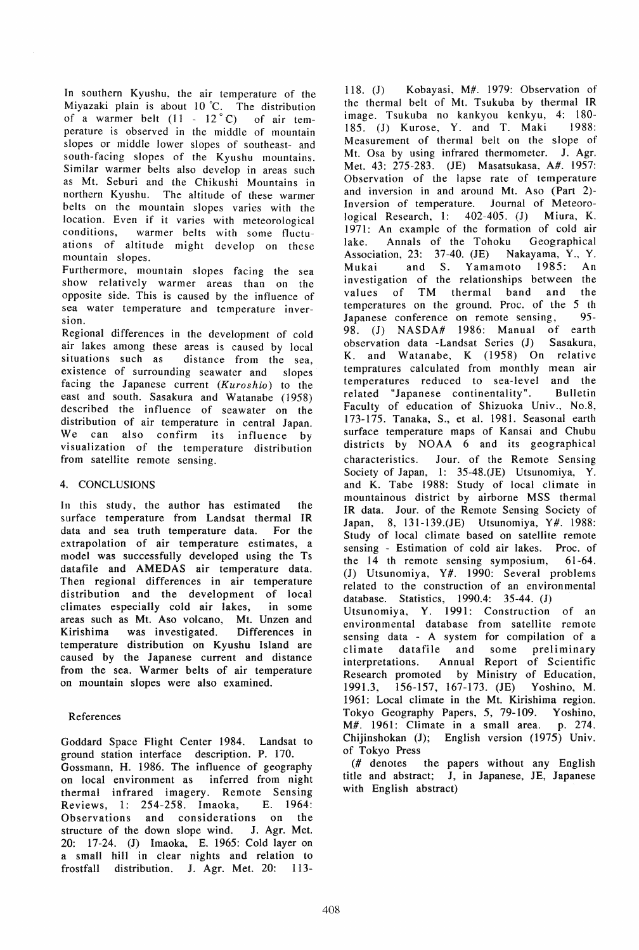In southern Kyushu, the air temperature of the Miyazaki plain is about 10°C. The distribution of a warmer belt  $(11 - 12^{\circ}C)$  of air temperature is observed in the middle of mountain slopes or middle lower slopes of southeast- and south-facing slopes of the Kyushu mountains. Similar warmer belts also develop in areas such as Mt. Seburi and the Chikushi Mountains in northern Kyushu. The altitude of these warmer belts on the mountain slopes varies with the location. Even if it varies with meteorological conditions, warmer belts with some fluctuations of altitude might develop on these mountain slopes.

Furthermore, mountain slopes facing the sea show relatively warmer areas than on the opposite side. This is caused by the influence of sea water temperature and temperature inversion.

Regional differences in the development of cold air lakes among these areas is caused by local situations such as distance from the sea. distance from the sea, existence of surrounding seawater and slopes facing the Japanese current (Kuroshio) to the east and south. Sasakura and Watanabe (1958) described the influence of seawater on the distribution of air temperature in central Japan. We can also confirm its influence by visualization of the temperature distribution from satellite remote sensing.

# 4. CONCLUSIONS

In this study, the author has estimated the surface temperature from Landsat thermal IR data and sea truth temperature data. For the extrapolation of air temperature estimates, a model was successfully developed using the Ts datafile and AMEDAS air temperature data. Then regional differences in air temperature distribution and the development of local climates especially cold air lakes, in some areas such as Mt. Aso volcano, Mt. Unzen and Kirishima was investigated. Differences in temperature distribution on Kyushu Island are caused by the Japanese current and distance from the sea. Warmer belts of air temperature on mountain slopes were also examined.

# References

Goddard Space Flight Center 1984. Landsat to ground station interface description. P. 170. Gossmann, H. 1986. The influence of geography on local environment as inferred from night thermal infrared imagery. Remote Sensing Reviews, 1: 254-258. Imaoka, E. 1964: Observations and considerations on the structure of the down slope wind. J. Agr. Met. 20: 17-24. (J) Imaoka, E. 1965: Cold layer on a small hill in clear nights and relation to frost fall distribution. J. Agr. Met. 20: 113-

118. (J) Kobayasi, M#. 1979: Observation of the thermal belt of Mt. Tsukuba by thermal IR image. Tsukuba no kankyou kenkyu, 4: 180- 185. (1) Kurose, Y. and T. Maki 1988: Measurement of thermal belt on the slope of Mt. Osa by using infrared thermometer. J. Agr. Met. 43: 275-283. (JE) Masatsukasa, A#. 1957: Observation of the lapse rate of temperature and inversion in and around Mt. Aso (Part 2)- Inversion of temperature. Journal of Meteoro-<br>logical Research. 1: 402-405. (J) Miura, K. logical Research, 1:  $402-405$ . (J) 1971: An example of the formation of cold air lake. Annals of the Tohoku Geographical Association, 23: 37-40. (JE) Nakayama, Y., Y. Mukai and S. Yamamoto 1985: An investigation of the relationships between the values of TM thermal band and the temperatures on the ground. Proc. of the 5 th Japanese conference on remote sensing, 95- 98. (1) NASDA# 1986: Manual of earth observation data -Landsat Series (J) Sasakura, K. and Watanabe, K (1958) On relative tempratures calculated from monthly mean air temperatures reduced to sea-level and the related "Japanese continentality". Bulletin Faculty of education of Shizuoka Univ., No.8, 173-175. Tanaka, S., et al. 1981. Seasonal earth surface temperature maps of Kansai and Chubu districts by NOAA 6 and its geographical characteristics. Jour. of the Remote Sensing Society of Japan, 1: 35-48.(JE) Utsunomiya, Y. and K. Tabe 1988: Study of local climate in mountainous district by airborne MSS thermal IR data. Jour. of the Remote Sensing Society of Japan, 8, 131-139.(JE) Utsunomiya, Y#. 1988: Study of local climate based on satellite remote sensing - Estimation of cold air lakes. Proc. of the 14 th remote sensing symposium, 61-64. (J) Utsunomiya, Y#. 1990: Several problems related to the construction of an environmental database. Statistics, 1990.4: 35-44. (1) Utsunomiya, Y. 1991: Construction of an environmental database from satellite remote sensing data - A system for compilation of a climate datafile and some preliminary interpretations. Annual Report of Scientific Research promoted by Ministry of Education, 1991.3, 156-157, 167-173. (JE) Yoshino, M. 1961: Local climate in the Mt. Kirishima region. Tokyo Geography Papers, 5, 79-109. Yoshino, M#. 1961: Climate in a small area. p. 274. Chijinshokan (1); English version (1975) Univ. of Tokyo Press

(# denotes the papers without any English title and abstract; J, in Japanese, JE, Japanese with English abstract)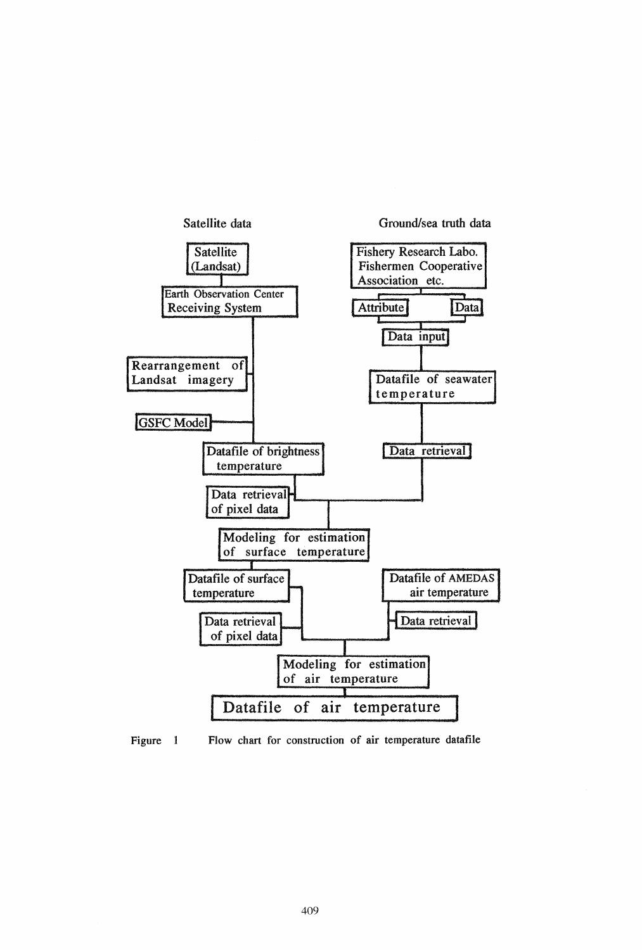

Figure 1 Flow chart for construction of air temperature datafile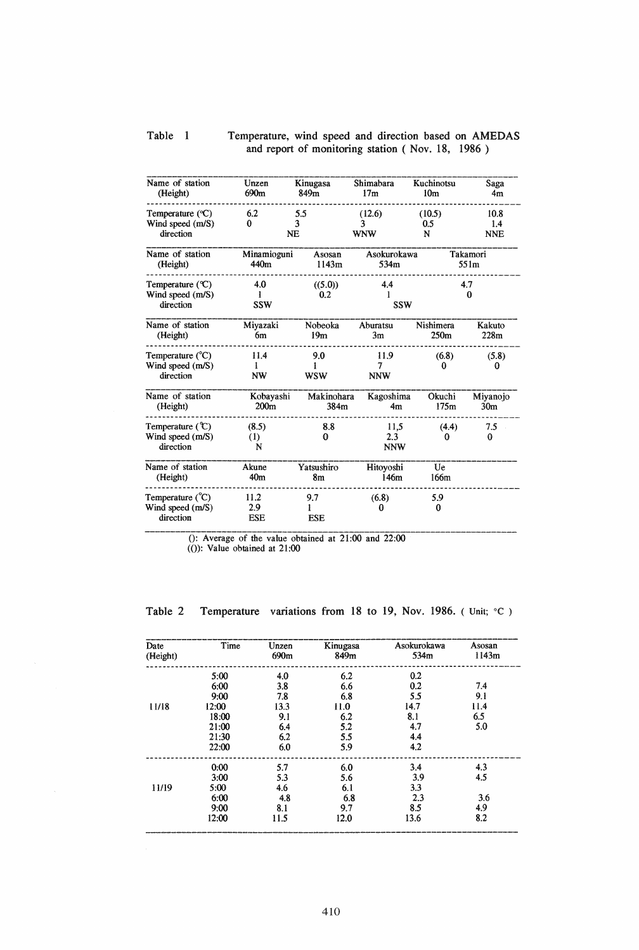# Table I Temperature, wind speed and direction based on AMEDAS and report of monitoring station ( Nov. 18, 1986)

| Name of station                                              | Unzen                     | Kinugasa               | Shimabara                 | Kuchinotsu         | Saga                      |
|--------------------------------------------------------------|---------------------------|------------------------|---------------------------|--------------------|---------------------------|
| (Height)                                                     | 690m                      | 849m                   | 17m                       | 10 <sub>m</sub>    | 4 <sub>m</sub>            |
| Temperature $({}^{\circ}C)$<br>Wind speed (m/S)<br>direction | 6.2<br>0<br><b>NE</b>     | 5.5<br>3               | (12.6)<br>3<br><b>WNW</b> | (10.5)<br>0.5<br>N | 10.8<br>1.4<br><b>NNE</b> |
| Name of station                                              | Minamioguni               | Asosan                 | Asokurokawa               |                    | Takamori                  |
| (Height)                                                     | 440m                      | 1143m                  | 534m                      |                    | 551m                      |
| Temperature $(C)$<br>Wind speed (m/S)<br>direction           | 4.0<br>1<br><b>SSW</b>    | ((5.0))<br>0.2         | 4.4<br>1<br><b>SSW</b>    | 4.7<br>0           |                           |
| Name of station                                              | Miyazaki                  | Nobeoka                | Aburatsu                  | Nishimera          | Kakuto                    |
| (Height)                                                     | 6m                        | 19 <sub>m</sub>        | 3m                        | 250 <sub>m</sub>   | 228m                      |
| Temperature $(^{\circ}C)$<br>Wind speed (m/S)<br>direction   | 11.4<br>1<br><b>NW</b>    | 9.0<br>1<br><b>WSW</b> | 11.9<br>7<br><b>NNW</b>   | (6.8)<br>0         | (5.8)<br>0                |
| Name of station                                              | Kobayashi                 | Makinohara             | Kagoshima                 | Okuchi             | Miyanojo                  |
| (Height)                                                     | 200 <sub>m</sub>          | 384m                   | 4 <sub>m</sub>            | 175m               | 30 <sub>m</sub>           |
| Temperature $(C)$<br>Wind speed (m/S)<br>direction           | (8.5)<br>$\rm(1)$<br>N    | 8.8<br>$\Omega$        | 11,5<br>2.3<br><b>NNW</b> | (4.4)<br>$_{0}$    | 7.5<br>0                  |
| Name of station                                              | Akune                     | Yatsushiro             | Hitoyoshi                 | Ue                 |                           |
| (Height)                                                     | 40 <sub>m</sub>           | 8m                     | 146m                      | 166m               |                           |
| Temperature $({}^{\circ}C)$<br>Wind speed (m/S)<br>direction | 11.2<br>2.9<br><b>ESE</b> | 9.7<br><b>ESE</b>      | (6.8)<br>0                | 5.9<br>0           |                           |

0: Average of the value obtained at 21:00 and 22:00

 $($ ()): Value obtained at 21:00

Table 2 Temperature variations from 18 to 19, Nov. 1986. (Unit; °C)

| Date     | Time  | Unzen            | Kinugasa | Asokurokawa | Asosan |
|----------|-------|------------------|----------|-------------|--------|
| (Height) |       | 690 <sub>m</sub> | 849m     | 534m        | 1143m  |
|          | 5:00  | 4.0              | 6.2      | 0.2         |        |
|          | 6:00  | 3.8              | 6.6      | 0.2         | 7.4    |
|          | 9:00  | 7.8              | 6.8      | 5.5         | 9.1    |
| 11/18    | 12:00 | 13.3             | 11.0     | 14.7        | 11.4   |
|          | 18:00 | 9.1              | 6.2      | 8.1         | 6.5    |
|          | 21:00 | 6.4              | 5.2      | 4.7         | 5.0    |
|          | 21:30 | 6.2              | 5.5      | 4.4         |        |
|          | 22:00 | 6.0              | 5.9      | 4.2         |        |
|          | 0:00  | 5.7              | 6.0      | 3,4         | 4.3    |
|          | 3:00  | 5.3              | 5.6      | 3.9         | 4.5    |
| 11/19    | 5:00  | 4.6              | 6.1      | 3.3         |        |
|          | 6:00  | 4.8              | 6.8      | 2.3         | 3.6    |
|          | 9:00  | 8.1              | 9.7      | 8.5         | 4.9    |
|          | 12:00 | 11.5             | 12.0     | 13.6        | 8.2    |